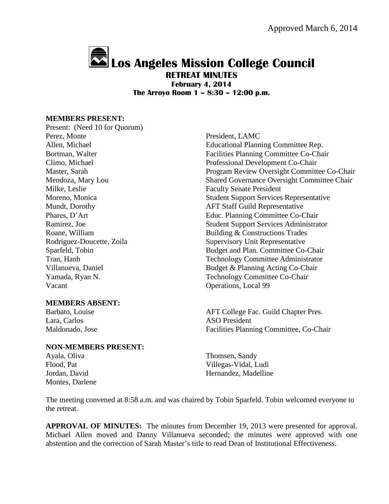# **Los Angeles Mission College Council**

**RETREAT MINUTES February 4, 2014 The Arroyo Room 1 – 8:30 – 12:00 p.m.**

#### **MEMBERS PRESENT:**

Present: (Need 10 for Quorum) Perez, Monte President, LAMC Milke, Leslie Faculty Senate President Vacant Operations, Local 99

## **MEMBERS ABSENT:**

Lara, Carlos **ASO President** 

## **NON-MEMBERS PRESENT:**

Montes, Darlene

Allen, Michael Educational Planning Committee Rep. Bortman, Walter Facilities Planning Committee Co-Chair Climo, Michael Professional Development Co-Chair Master, Sarah Program Review Oversight Committee Co-Chair Mendoza, Mary Lou Shared Governance Oversight Committee Chair Moreno, Monica Student Support Services Representative Mundt, Dorothy AFT Staff Guild Representative Phares, D'Art Educ. Planning Committee Co-Chair Ramirez, Joe Student Support Services Administrator Roane, William Building & Constructions Trades Rodriguez-Doucette, Zoila Supervisory Unit Representative Sparfeld, Tobin Budget and Plan. Committee Co-Chair Tran, Hanh Technology Committee Administrator Villanueva, Daniel Budget & Planning Acting Co-Chair Yamada, Ryan N. Technology Committee Co-Chair

Barbato, Louise **AFT College Fac. Guild Chapter Pres.** Maldonado, Jose Facilities Planning Committee, Co-Chair

Ayala, Oliva Thomsen, Sandy Flood, Pat Villegas-Vidal, Ludi Jordan, David **Hernandez**, Madelline

The meeting convened at 8:58 a.m. and was chaired by Tobin Sparfeld. Tobin welcomed everyone to the retreat.

**APPROVAL OF MINUTES:** The minutes from December 19, 2013 were presented for approval. Michael Allen moved and Danny Villanueva seconded; the minutes were approved with one abstention and the correction of Sarah Master's title to read Dean of Institutional Effectiveness.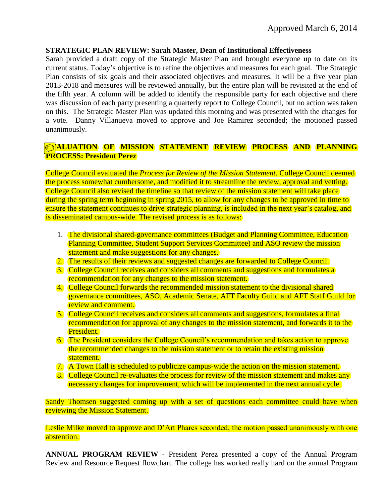## **STRATEGIC PLAN REVIEW: Sarah Master, Dean of Institutional Effectiveness**

Sarah provided a draft copy of the Strategic Master Plan and brought everyone up to date on its current status. Today's objective is to refine the objectives and measures for each goal. The Strategic Plan consists of six goals and their associated objectives and measures. It will be a five year plan 2013-2018 and measures will be reviewed annually, but the entire plan will be revisited at the end of the fifth year. A column will be added to identify the responsible party for each objective and there was discussion of each party presenting a quarterly report to College Council, but no action was taken on this. The Strategic Master Plan was updated this morning and was presented with the changes for a vote. Danny Villanueva moved to approve and Joe Ramirez seconded; the motioned passed unanimously.

# **EVALUATION OF MISSION STATEMENT REVIEW PROCESS AND PLANNING PROCESS: President Perez**

College Council evaluated the *Process for Review of the Mission Statement*. College Council deemed the process somewhat cumbersome, and modified it to streamline the review, approval and vetting. College Council also revised the timeline so that review of the mission statement will take place during the spring term beginning in spring 2015, to allow for any changes to be approved in time to ensure the statement continues to drive strategic planning, is included in the next year's catalog, and is disseminated campus-wide. The revised process is as follows:

- 1. The divisional shared-governance committees (Budget and Planning Committee, Education Planning Committee, Student Support Services Committee) and ASO review the mission statement and make suggestions for any changes.
- 2. The results of their reviews and suggested changes are forwarded to College Council.
- 3. College Council receives and considers all comments and suggestions and formulates a recommendation for any changes to the mission statement.
- 4. College Council forwards the recommended mission statement to the divisional shared governance committees, ASO, Academic Senate, AFT Faculty Guild and AFT Staff Guild for review and comment.
- 5. College Council receives and considers all comments and suggestions, formulates a final recommendation for approval of any changes to the mission statement, and forwards it to the President.
- 6. The President considers the College Council's recommendation and takes action to approve the recommended changes to the mission statement or to retain the existing mission statement.
- 7. A Town Hall is scheduled to publicize campus-wide the action on the mission statement.
- 8. College Council re-evaluates the process for review of the mission statement and makes any necessary changes for improvement, which will be implemented in the next annual cycle.

*Sandy* Thomsen suggested coming up with a set of questions each committee could have when reviewing the Mission Statement.

Leslie Milke moved to approve and D'Art Phares seconded; the motion passed unanimously with one abstention.

**ANNUAL PROGRAM REVIEW** - President Perez presented a copy of the Annual Program Review and Resource Request flowchart. The college has worked really hard on the annual Program